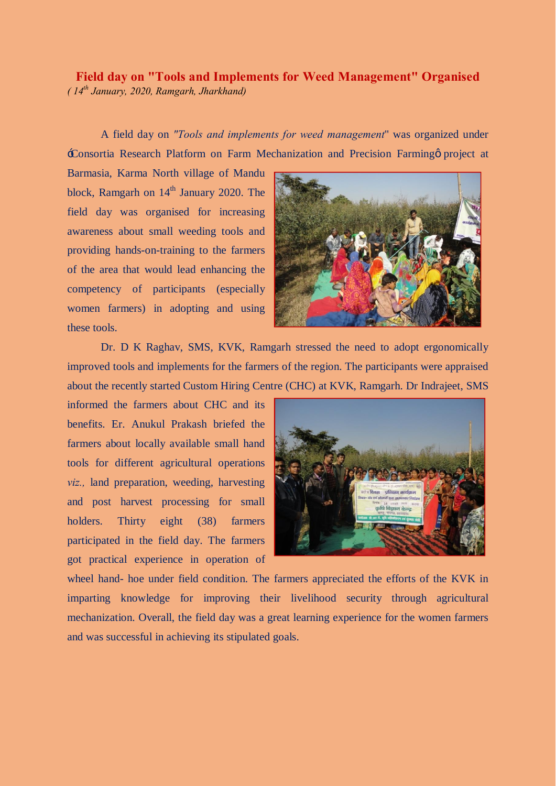## **Field day on "Tools and Implements for Weed Management" Organised** *( 14th January, 2020, Ramgarh, Jharkhand)*

A field day on *"Tools and implements for weed management*" was organized under 'Consortia Research Platform on Farm Mechanization and Precision Farming' project at

Barmasia, Karma North village of Mandu block, Ramgarh on 14<sup>th</sup> January 2020. The field day was organised for increasing awareness about small weeding tools and providing hands-on-training to the farmers of the area that would lead enhancing the competency of participants (especially women farmers) in adopting and using these tools.



Dr. D K Raghav, SMS, KVK, Ramgarh stressed the need to adopt ergonomically improved tools and implements for the farmers of the region. The participants were appraised about the recently started Custom Hiring Centre (CHC) at KVK, Ramgarh. Dr Indrajeet, SMS

informed the farmers about CHC and its benefits. Er. Anukul Prakash briefed the farmers about locally available small hand tools for different agricultural operations *viz.,* land preparation, weeding, harvesting and post harvest processing for small holders. Thirty eight (38) farmers participated in the field day. The farmers got practical experience in operation of



wheel hand- hoe under field condition. The farmers appreciated the efforts of the KVK in imparting knowledge for improving their livelihood security through agricultural mechanization. Overall, the field day was a great learning experience for the women farmers and was successful in achieving its stipulated goals.